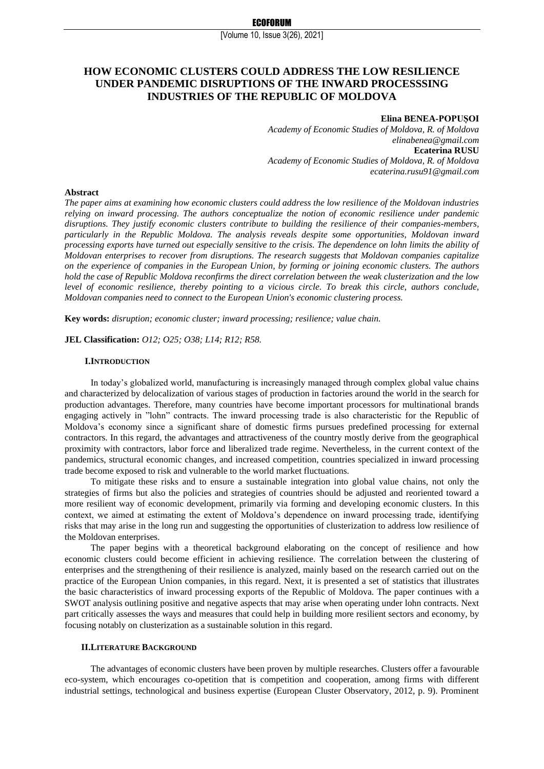# **HOW ECONOMIC CLUSTERS COULD ADDRESS THE LOW RESILIENCE UNDER PANDEMIC DISRUPTIONS OF THE INWARD PROCESSSING INDUSTRIES OF THE REPUBLIC OF MOLDOVA**

# **Elina BENEA-POPUȘOI**

*Academy of Economic Studies of Moldova, R. of Moldova elinabenea@gmail.com*  **Ecaterina RUSU** *Academy of Economic Studies of Moldova, R. of Moldova ecaterina.rusu91@gmail.com* 

#### **Abstract**

*The paper aims at examining how economic clusters could address the low resilience of the Moldovan industries relying on inward processing. The authors conceptualize the notion of economic resilience under pandemic disruptions. They justify economic clusters contribute to building the resilience of their companies-members, particularly in the Republic Moldova. The analysis reveals despite some opportunities, Moldovan inward processing exports have turned out especially sensitive to the crisis. The dependence on lohn limits the ability of Moldovan enterprises to recover from disruptions. The research suggests that Moldovan companies capitalize on the experience of companies in the European Union, by forming or joining economic clusters. The authors hold the case of Republic Moldova reconfirms the direct correlation between the weak clusterization and the low level of economic resilience, thereby pointing to a vicious circle. To break this circle, authors conclude, Moldovan companies need to connect to the European Union's economic clustering process.*

**Key words:** *disruption; economic cluster; inward processing; resilience; value chain.*

**JEL Classification:** *O12; O25; O38; L14; R12; R58.*

#### **I.INTRODUCTION**

In today's globalized world, manufacturing is increasingly managed through complex global value chains and characterized by delocalization of various stages of production in factories around the world in the search for production advantages. Therefore, many countries have become important processors for multinational brands engaging actively in "lohn" contracts. The inward processing trade is also characteristic for the Republic of Moldova's economy since a significant share of domestic firms pursues predefined processing for external contractors. In this regard, the advantages and attractiveness of the country mostly derive from the geographical proximity with contractors, labor force and liberalized trade regime. Nevertheless, in the current context of the pandemics, structural economic changes, and increased competition, countries specialized in inward processing trade become exposed to risk and vulnerable to the world market fluctuations.

To mitigate these risks and to ensure a sustainable integration into global value chains, not only the strategies of firms but also the policies and strategies of countries should be adjusted and reoriented toward a more resilient way of economic development, primarily via forming and developing economic clusters. In this context, we aimed at estimating the extent of Moldova's dependence on inward processing trade, identifying risks that may arise in the long run and suggesting the opportunities of clusterization to address low resilience of the Moldovan enterprises.

The paper begins with a theoretical background elaborating on the concept of resilience and how economic clusters could become efficient in achieving resilience. The correlation between the clustering of enterprises and the strengthening of their resilience is analyzed, mainly based on the research carried out on the practice of the European Union companies, in this regard. Next, it is presented a set of statistics that illustrates the basic characteristics of inward processing exports of the Republic of Moldova. The paper continues with a SWOT analysis outlining positive and negative aspects that may arise when operating under lohn contracts. Next part critically assesses the ways and measures that could help in building more resilient sectors and economy, by focusing notably on clusterization as a sustainable solution in this regard.

## **II.LITERATURE BACKGROUND**

The advantages of economic clusters have been proven by multiple researches. Clusters offer a favourable eco-system, which encourages co-opetition that is competition and cooperation, among firms with different industrial settings, technological and business expertise (European Cluster Observatory, 2012, p. 9). Prominent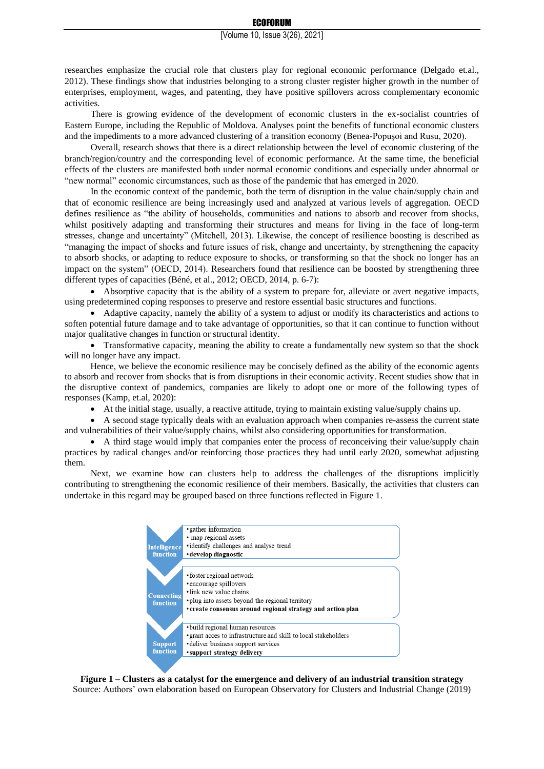researches emphasize the crucial role that clusters play for regional economic performance (Delgado et.al., 2012). These findings show that industries belonging to a strong cluster register higher growth in the number of enterprises, employment, wages, and patenting, they have positive spillovers across complementary economic activities.

There is growing evidence of the development of economic clusters in the ex-socialist countries of Eastern Europe, including the Republic of Moldova. Analyses point the benefits of functional economic clusters and the impediments to a more advanced clustering of a transition economy (Benea-Popuşoi and Rusu, 2020).

Overall, research shows that there is a direct relationship between the level of economic clustering of the branch/region/country and the corresponding level of economic performance. At the same time, the beneficial effects of the clusters are manifested both under normal economic conditions and especially under abnormal or "new normal" economic circumstances, such as those of the pandemic that has emerged in 2020.

In the economic context of the pandemic, both the term of disruption in the value chain/supply chain and that of economic resilience are being increasingly used and analyzed at various levels of aggregation. OECD defines resilience as "the ability of households, communities and nations to absorb and recover from shocks, whilst positively adapting and transforming their structures and means for living in the face of long-term stresses, change and uncertainty" (Mitchell, 2013). Likewise, the concept of resilience boosting is described as "managing the impact of shocks and future issues of risk, change and uncertainty, by strengthening the capacity to absorb shocks, or adapting to reduce exposure to shocks, or transforming so that the shock no longer has an impact on the system" (OECD, 2014). Researchers found that resilience can be boosted by strengthening three different types of capacities (Béné, et al., 2012; OECD, 2014, p. 6-7):

• Absorptive capacity that is the ability of a system to prepare for, alleviate or avert negative impacts, using predetermined coping responses to preserve and restore essential basic structures and functions.

• Adaptive capacity, namely the ability of a system to adjust or modify its characteristics and actions to soften potential future damage and to take advantage of opportunities, so that it can continue to function without major qualitative changes in function or structural identity.

• Transformative capacity, meaning the ability to create a fundamentally new system so that the shock will no longer have any impact.

Hence, we believe the economic resilience may be concisely defined as the ability of the economic agents to absorb and recover from shocks that is from disruptions in their economic activity. Recent studies show that in the disruptive context of pandemics, companies are likely to adopt one or more of the following types of responses (Kamp, et.al, 2020):

• At the initial stage, usually, a reactive attitude, trying to maintain existing value/supply chains up.

• A second stage typically deals with an evaluation approach when companies re-assess the current state and vulnerabilities of their value/supply chains, whilst also considering opportunities for transformation.

• A third stage would imply that companies enter the process of reconceiving their value/supply chain practices by radical changes and/or reinforcing those practices they had until early 2020, somewhat adjusting them.

Next, we examine how can clusters help to address the challenges of the disruptions implicitly contributing to strengthening the economic resilience of their members. Basically, the activities that clusters can undertake in this regard may be grouped based on three functions reflected in Figure 1.



**Figure 1 – Clusters as a catalyst for the emergence and delivery of an industrial transition strategy** Source: Authors' own elaboration based on European Observatory for Clusters and Industrial Change (2019)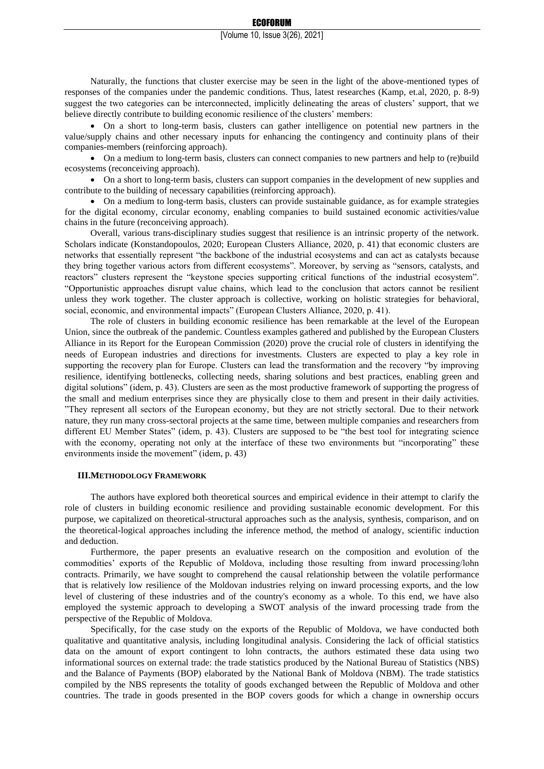Naturally, the functions that cluster exercise may be seen in the light of the above-mentioned types of responses of the companies under the pandemic conditions. Thus, latest researches (Kamp, et.al, 2020, p. 8-9) suggest the two categories can be interconnected, implicitly delineating the areas of clusters' support, that we believe directly contribute to building economic resilience of the clusters' members:

• On a short to long-term basis, clusters can gather intelligence on potential new partners in the value/supply chains and other necessary inputs for enhancing the contingency and continuity plans of their companies-members (reinforcing approach).

• On a medium to long-term basis, clusters can connect companies to new partners and help to (re)build ecosystems (reconceiving approach).

• On a short to long-term basis, clusters can support companies in the development of new supplies and contribute to the building of necessary capabilities (reinforcing approach).

• On a medium to long-term basis, clusters can provide sustainable guidance, as for example strategies for the digital economy, circular economy, enabling companies to build sustained economic activities/value chains in the future (reconceiving approach).

Overall, various trans-disciplinary studies suggest that resilience is an intrinsic property of the network. Scholars indicate (Konstandopoulos, 2020; European Clusters Alliance, 2020, p. 41) that economic clusters are networks that essentially represent "the backbone of the industrial ecosystems and can act as catalysts because they bring together various actors from different ecosystems". Moreover, by serving as "sensors, catalysts, and reactors" clusters represent the "keystone species supporting critical functions of the industrial ecosystem". "Opportunistic approaches disrupt value chains, which lead to the conclusion that actors cannot be resilient unless they work together. The cluster approach is collective, working on holistic strategies for behavioral, social, economic, and environmental impacts" (European Clusters Alliance, 2020, p. 41).

The role of clusters in building economic resilience has been remarkable at the level of the European Union, since the outbreak of the pandemic. Countless examples gathered and published by the European Clusters Alliance in its Report for the European Commission (2020) prove the crucial role of clusters in identifying the needs of European industries and directions for investments. Clusters are expected to play a key role in supporting the recovery plan for Europe. Clusters can lead the transformation and the recovery "by improving resilience, identifying bottlenecks, collecting needs, sharing solutions and best practices, enabling green and digital solutions" (idem, p. 43). Clusters are seen as the most productive framework of supporting the progress of the small and medium enterprises since they are physically close to them and present in their daily activities. "They represent all sectors of the European economy, but they are not strictly sectoral. Due to their network nature, they run many cross-sectoral projects at the same time, between multiple companies and researchers from different EU Member States" (idem, p. 43). Clusters are supposed to be "the best tool for integrating science with the economy, operating not only at the interface of these two environments but "incorporating" these environments inside the movement" (idem, p. 43)

#### **III.METHODOLOGY FRAMEWORK**

The authors have explored both theoretical sources and empirical evidence in their attempt to clarify the role of clusters in building economic resilience and providing sustainable economic development. For this purpose, we capitalized on theoretical-structural approaches such as the analysis, synthesis, comparison, and on the theoretical-logical approaches including the inference method, the method of analogy, scientific induction and deduction.

Furthermore, the paper presents an evaluative research on the composition and evolution of the commodities' exports of the Republic of Moldova, including those resulting from inward processing/lohn contracts. Primarily, we have sought to comprehend the causal relationship between the volatile performance that is relatively low resilience of the Moldovan industries relying on inward processing exports, and the low level of clustering of these industries and of the country's economy as a whole. To this end, we have also employed the systemic approach to developing a SWOT analysis of the inward processing trade from the perspective of the Republic of Moldova.

Specifically, for the case study on the exports of the Republic of Moldova, we have conducted both qualitative and quantitative analysis, including longitudinal analysis. Considering the lack of official statistics data on the amount of export contingent to lohn contracts, the authors estimated these data using two informational sources on external trade: the trade statistics produced by the National Bureau of Statistics (NBS) and the Balance of Payments (BOP) elaborated by the National Bank of Moldova (NBM). The trade statistics compiled by the NBS represents the totality of goods exchanged between the Republic of Moldova and other countries. The trade in goods presented in the BOP covers goods for which a change in ownership occurs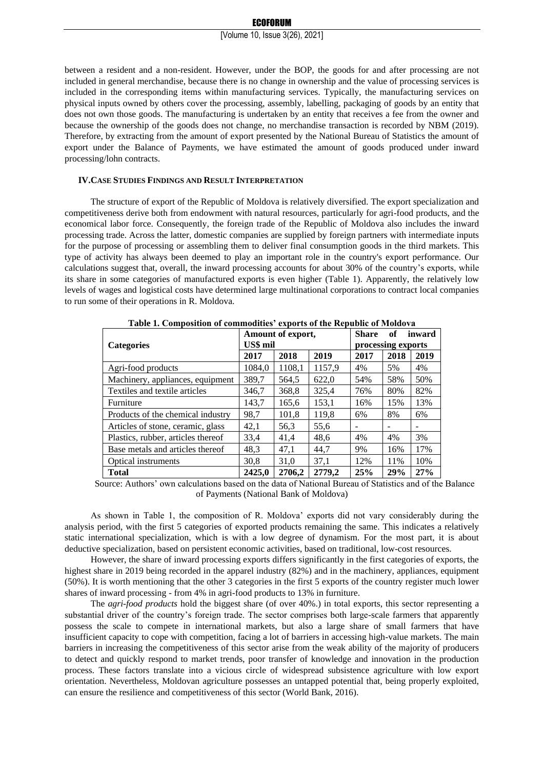between a resident and a non-resident. However, under the BOP, the goods for and after processing are not included in general merchandise, because there is no change in ownership and the value of processing services is included in the corresponding items within manufacturing services. Typically, the manufacturing services on physical inputs owned by others cover the processing, assembly, labelling, packaging of goods by an entity that does not own those goods. The manufacturing is undertaken by an entity that receives a fee from the owner and because the ownership of the goods does not change, no merchandise transaction is recorded by NBM (2019). Therefore, by extracting from the amount of export presented by the National Bureau of Statistics the amount of export under the Balance of Payments, we have estimated the amount of goods produced under inward processing/lohn contracts.

#### **IV.CASE STUDIES FINDINGS AND RESULT INTERPRETATION**

The structure of export of the Republic of Moldova is relatively diversified. The export specialization and competitiveness derive both from endowment with natural resources, particularly for agri-food products, and the economical labor force. Consequently, the foreign trade of the Republic of Moldova also includes the inward processing trade. Across the latter, domestic companies are supplied by foreign partners with intermediate inputs for the purpose of processing or assembling them to deliver final consumption goods in the third markets. This type of activity has always been deemed to play an important role in the country's export performance. Our calculations suggest that, overall, the inward processing accounts for about 30% of the country's exports, while its share in some categories of manufactured exports is even higher (Table 1). Apparently, the relatively low levels of wages and logistical costs have determined large multinational corporations to contract local companies to run some of their operations in R. Moldova.

| <b>Table 1. Composition of commodities exports of the Republic of Moldova</b> |          |                   |        |                    |      |        |  |  |  |  |  |  |
|-------------------------------------------------------------------------------|----------|-------------------|--------|--------------------|------|--------|--|--|--|--|--|--|
|                                                                               |          | Amount of export, |        | Share              | of   | inward |  |  |  |  |  |  |
| <b>Categories</b>                                                             | US\$ mil |                   |        | processing exports |      |        |  |  |  |  |  |  |
|                                                                               | 2017     | 2018              | 2019   | 2017               | 2018 | 2019   |  |  |  |  |  |  |
| Agri-food products                                                            | 1084.0   | 1108.1            | 1157,9 | 4%                 | 5%   | 4%     |  |  |  |  |  |  |
| Machinery, appliances, equipment                                              | 389,7    | 564,5             | 622.0  | 54%                | 58%  | 50%    |  |  |  |  |  |  |
| Textiles and textile articles                                                 | 346,7    | 368,8             | 325,4  | 76%                | 80%  | 82%    |  |  |  |  |  |  |
| Furniture                                                                     | 143.7    | 165,6             | 153,1  | 16%                | 15%  | 13%    |  |  |  |  |  |  |
| Products of the chemical industry                                             | 98.7     | 101,8             | 119,8  | 6%                 | 8%   | 6%     |  |  |  |  |  |  |
| Articles of stone, ceramic, glass                                             | 42,1     | 56,3              | 55,6   |                    |      |        |  |  |  |  |  |  |
| Plastics, rubber, articles thereof                                            | 33.4     | 41.4              | 48,6   | 4%                 | 4%   | 3%     |  |  |  |  |  |  |
| Base metals and articles thereof                                              | 48,3     | 47,1              | 44.7   | 9%                 | 16%  | 17%    |  |  |  |  |  |  |
| <b>Optical instruments</b>                                                    | 30,8     | 31.0              | 37,1   | 12%                | 11%  | 10%    |  |  |  |  |  |  |
| <b>Total</b>                                                                  | 2425.0   | 2706.2            | 2779,2 | 25%                | 29%  | 27%    |  |  |  |  |  |  |

**Table 1. Composition of commodities' exports of the Republic of Moldova**

Source: Authors' own calculations based on the data of National Bureau of Statistics and of the Balance of Payments (National Bank of Moldova)

As shown in Table 1, the composition of R. Moldova' exports did not vary considerably during the analysis period, with the first 5 categories of exported products remaining the same. This indicates a relatively static international specialization, which is with a low degree of dynamism. For the most part, it is about deductive specialization, based on persistent economic activities, based on traditional, low-cost resources.

However, the share of inward processing exports differs significantly in the first categories of exports, the highest share in 2019 being recorded in the apparel industry (82%) and in the machinery, appliances, equipment (50%). It is worth mentioning that the other 3 categories in the first 5 exports of the country register much lower shares of inward processing - from 4% in agri-food products to 13% in furniture.

The *agri-food products* hold the biggest share (of over 40%.) in total exports, this sector representing a substantial driver of the country's foreign trade. The sector comprises both large-scale farmers that apparently possess the scale to compete in international markets, but also a large share of small farmers that have insufficient capacity to cope with competition, facing a lot of barriers in accessing high-value markets. The main barriers in increasing the competitiveness of this sector arise from the weak ability of the majority of producers to detect and quickly respond to market trends, poor transfer of knowledge and innovation in the production process. These factors translate into a vicious circle of widespread subsistence agriculture with low export orientation. Nevertheless, Moldovan agriculture possesses an untapped potential that, being properly exploited, can ensure the resilience and competitiveness of this sector (World Bank, 2016).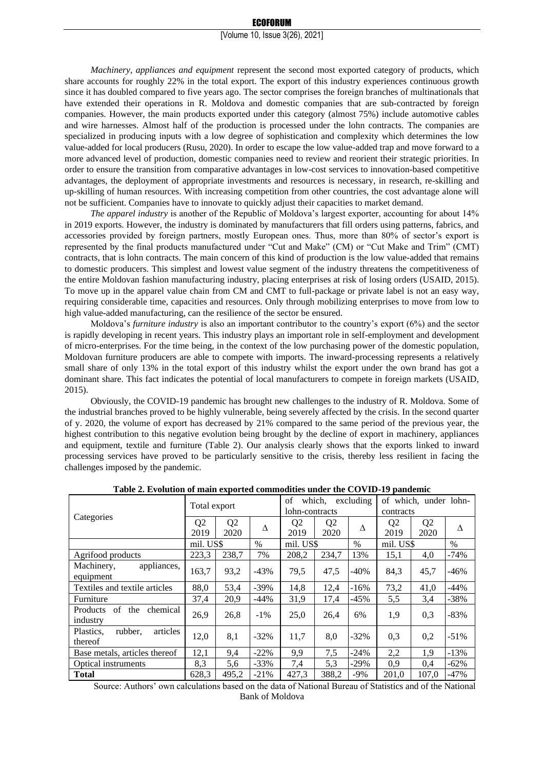*Machinery, appliances and equipment* represent the second most exported category of products, which share accounts for roughly 22% in the total export. The export of this industry experiences continuous growth since it has doubled compared to five years ago. The sector comprises the foreign branches of multinationals that have extended their operations in R. Moldova and domestic companies that are sub-contracted by foreign companies. However, the main products exported under this category (almost 75%) include automotive cables and wire harnesses. Almost half of the production is processed under the lohn contracts. The companies are specialized in producing inputs with a low degree of sophistication and complexity which determines the low value-added for local producers (Rusu, 2020). In order to escape the low value-added trap and move forward to a more advanced level of production, domestic companies need to review and reorient their strategic priorities. In order to ensure the transition from comparative advantages in low-cost services to innovation-based competitive advantages, the deployment of appropriate investments and resources is necessary, in research, re-skilling and up-skilling of human resources. With increasing competition from other countries, the cost advantage alone will not be sufficient. Companies have to innovate to quickly adjust their capacities to market demand.

*The apparel industry* is another of the Republic of Moldova's largest exporter, accounting for about 14% in 2019 exports. However, the industry is dominated by manufacturers that fill orders using patterns, fabrics, and accessories provided by foreign partners, mostly European ones. Thus, more than 80% of sector's export is represented by the final products manufactured under "Cut and Make" (CM) or "Cut Make and Trim" (CMT) contracts, that is lohn contracts. The main concern of this kind of production is the low value-added that remains to domestic producers. This simplest and lowest value segment of the industry threatens the competitiveness of the entire Moldovan fashion manufacturing industry, placing enterprises at risk of losing orders (USAID, 2015). To move up in the apparel value chain from CM and CMT to full-package or private label is not an easy way, requiring considerable time, capacities and resources. Only through mobilizing enterprises to move from low to high value-added manufacturing, can the resilience of the sector be ensured.

Moldova's *furniture industry* is also an important contributor to the country's export (6%) and the sector is rapidly developing in recent years. This industry plays an important role in self-employment and development of micro-enterprises. For the time being, in the context of the low purchasing power of the domestic population, Moldovan furniture producers are able to compete with imports. The inward-processing represents a relatively small share of only 13% in the total export of this industry whilst the export under the own brand has got a dominant share. This fact indicates the potential of local manufacturers to compete in foreign markets (USAID, 2015).

Obviously, the COVID-19 pandemic has brought new challenges to the industry of R. Moldova. Some of the industrial branches proved to be highly vulnerable, being severely affected by the crisis. In the second quarter of y. 2020, the volume of export has decreased by 21% compared to the same period of the previous year, the highest contribution to this negative evolution being brought by the decline of export in machinery, appliances and equipment, textile and furniture (Table 2). Our analysis clearly shows that the exports linked to inward processing services have proved to be particularly sensitive to the crisis, thereby less resilient in facing the challenges imposed by the pandemic.

|                                               | Total export   |                | which,<br>excluding<br>of |                |                | of which, under lohn- |                |                |        |
|-----------------------------------------------|----------------|----------------|---------------------------|----------------|----------------|-----------------------|----------------|----------------|--------|
| Categories                                    |                |                | lohn-contracts            |                |                | contracts             |                |                |        |
|                                               | Q <sub>2</sub> | Q <sub>2</sub> | Δ                         | Q <sub>2</sub> | Q <sub>2</sub> | Δ                     | Q <sub>2</sub> | Q <sub>2</sub> | Δ      |
|                                               | 2019           | 2020           |                           | 2019           | 2020           |                       | 2019           | 2020           |        |
|                                               | mil. US\$      |                | $\frac{0}{0}$             | mil. US\$      |                | $\%$                  | mil. US\$      |                | $\%$   |
| Agrifood products                             | 223.3          | 238.7          | 7%                        | 208,2          | 234.7          | 13%                   | 15,1           | 4,0            | $-74%$ |
| appliances,<br>Machinery,                     | 163,7          | 93,2           | $-43%$                    | 79,5           | 47,5           | $-40%$                | 84,3           | 45,7           | $-46%$ |
| equipment                                     |                |                |                           |                |                |                       |                |                |        |
| Textiles and textile articles                 | 88,0           | 53,4           | $-39\%$                   | 14,8           | 12,4           | $-16%$                | 73,2           | 41,0           | $-44%$ |
| Furniture                                     | 37,4           | 20,9           | $-44%$                    | 31,9           | 17.4           | $-45%$                | 5,5            | 3,4            | $-38%$ |
| Products<br>of<br>the<br>chemical<br>industry | 26,9           | 26.8           | $-1\%$                    | 25,0           | 26.4           | 6%                    | 1,9            | 0,3            | $-83%$ |
| rubber.<br>articles<br>Plastics.              |                |                |                           |                |                |                       |                |                |        |
| thereof                                       | 12,0           | 8,1            | $-32\%$                   | 11,7           | 8,0            | $-32\%$               | 0,3            | 0,2            | $-51%$ |
| Base metals, articles thereof                 | 12,1           | 9,4            | $-22\%$                   | 9,9            | 7,5            | $-24\%$               | 2,2            | 1,9            | $-13%$ |
| <b>Optical instruments</b>                    | 8,3            | 5,6            | $-33%$                    | 7,4            | 5,3            | -29%                  | 0,9            | 0.4            | $-62%$ |
| <b>Total</b>                                  | 628.3          | 495,2          | $-21%$                    | 427.3          | 388.2          | $-9\%$                | 201.0          | 107.0          | $-47%$ |

**Table 2. Evolution of main exported commodities under the COVID-19 pandemic**

Source: Authors' own calculations based on the data of National Bureau of Statistics and of the National Bank of Moldova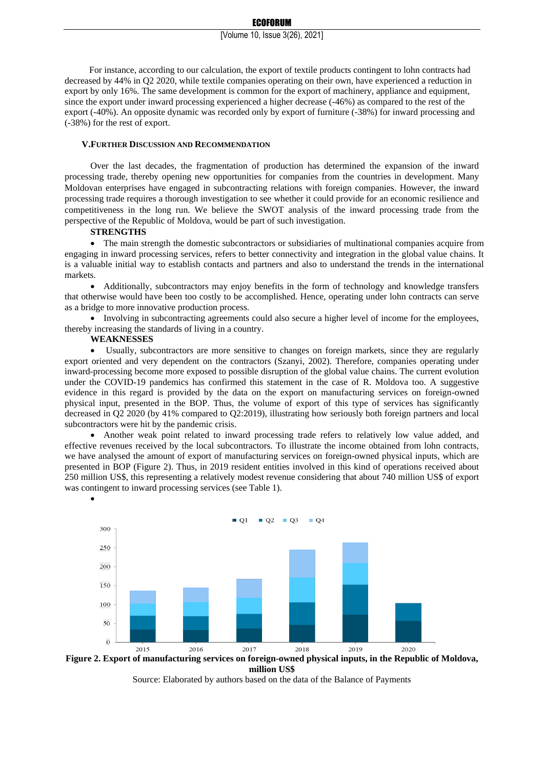For instance, according to our calculation, the export of textile products contingent to lohn contracts had decreased by 44% in Q2 2020, while textile companies operating on their own, have experienced a reduction in export by only 16%. The same development is common for the export of machinery, appliance and equipment, since the export under inward processing experienced a higher decrease (-46%) as compared to the rest of the export (-40%). An opposite dynamic was recorded only by export of furniture (-38%) for inward processing and (-38%) for the rest of export.

#### **V.FURTHER DISCUSSION AND RECOMMENDATION**

Over the last decades, the fragmentation of production has determined the expansion of the inward processing trade, thereby opening new opportunities for companies from the countries in development. Many Moldovan enterprises have engaged in subcontracting relations with foreign companies. However, the inward processing trade requires a thorough investigation to see whether it could provide for an economic resilience and competitiveness in the long run. We believe the SWOT analysis of the inward processing trade from the perspective of the Republic of Moldova, would be part of such investigation.

#### **STRENGTHS**

• The main strength the domestic subcontractors or subsidiaries of multinational companies acquire from engaging in inward processing services, refers to better connectivity and integration in the global value chains. It is a valuable initial way to establish contacts and partners and also to understand the trends in the international markets.

• Additionally, subcontractors may enjoy benefits in the form of technology and knowledge transfers that otherwise would have been too costly to be accomplished. Hence, operating under lohn contracts can serve as a bridge to more innovative production process.

• Involving in subcontracting agreements could also secure a higher level of income for the employees, thereby increasing the standards of living in a country.

# **WEAKNESSES**

•

• Usually, subcontractors are more sensitive to changes on foreign markets, since they are regularly export oriented and very dependent on the contractors (Szanyi, 2002). Therefore, companies operating under inward-processing become more exposed to possible disruption of the global value chains. The current evolution under the COVID-19 pandemics has confirmed this statement in the case of R. Moldova too. A suggestive evidence in this regard is provided by the data on the export on manufacturing services on foreign-owned physical input, presented in the BOP. Thus, the volume of export of this type of services has significantly decreased in Q2 2020 (by 41% compared to Q2:2019), illustrating how seriously both foreign partners and local subcontractors were hit by the pandemic crisis.

• Another weak point related to inward processing trade refers to relatively low value added, and effective revenues received by the local subcontractors. To illustrate the income obtained from lohn contracts, we have analysed the amount of export of manufacturing services on foreign-owned physical inputs, which are presented in BOP (Figure 2). Thus, in 2019 resident entities involved in this kind of operations received about 250 million US\$, this representing a relatively modest revenue considering that about 740 million US\$ of export was contingent to inward processing services (see Table 1).





Source: Elaborated by authors based on the data of the Balance of Payments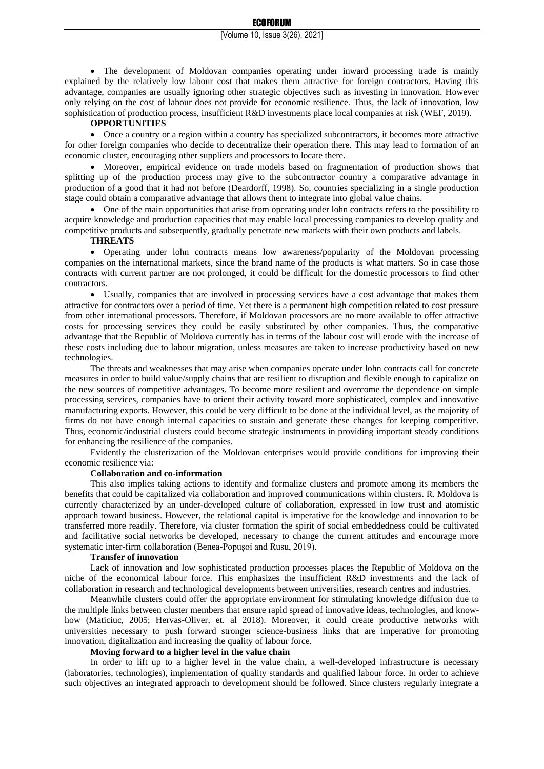• The development of Moldovan companies operating under inward processing trade is mainly explained by the relatively low labour cost that makes them attractive for foreign contractors. Having this advantage, companies are usually ignoring other strategic objectives such as investing in innovation. However only relying on the cost of labour does not provide for economic resilience. Thus, the lack of innovation, low sophistication of production process, insufficient R&D investments place local companies at risk (WEF, 2019).

#### **OPPORTUNITIES**

• Once a country or a region within a country has specialized subcontractors, it becomes more attractive for other foreign companies who decide to decentralize their operation there. This may lead to formation of an economic cluster, encouraging other suppliers and processors to locate there.

• Moreover, empirical evidence on trade models based on fragmentation of production shows that splitting up of the production process may give to the subcontractor country a comparative advantage in production of a good that it had not before (Deardorff, 1998). So, countries specializing in a single production stage could obtain a comparative advantage that allows them to integrate into global value chains.

• One of the main opportunities that arise from operating under lohn contracts refers to the possibility to acquire knowledge and production capacities that may enable local processing companies to develop quality and competitive products and subsequently, gradually penetrate new markets with their own products and labels.

### **THREATS**

• Operating under lohn contracts means low awareness/popularity of the Moldovan processing companies on the international markets, since the brand name of the products is what matters. So in case those contracts with current partner are not prolonged, it could be difficult for the domestic processors to find other contractors.

• Usually, companies that are involved in processing services have a cost advantage that makes them attractive for contractors over a period of time. Yet there is a permanent high competition related to cost pressure from other international processors. Therefore, if Moldovan processors are no more available to offer attractive costs for processing services they could be easily substituted by other companies. Thus, the comparative advantage that the Republic of Moldova currently has in terms of the labour cost will erode with the increase of these costs including due to labour migration, unless measures are taken to increase productivity based on new technologies.

The threats and weaknesses that may arise when companies operate under lohn contracts call for concrete measures in order to build value/supply chains that are resilient to disruption and flexible enough to capitalize on the new sources of competitive advantages. To become more resilient and overcome the dependence on simple processing services, companies have to orient their activity toward more sophisticated, complex and innovative manufacturing exports. However, this could be very difficult to be done at the individual level, as the majority of firms do not have enough internal capacities to sustain and generate these changes for keeping competitive. Thus, economic/industrial clusters could become strategic instruments in providing important steady conditions for enhancing the resilience of the companies.

Evidently the clusterization of the Moldovan enterprises would provide conditions for improving their economic resilience via:

### **Collaboration and co-information**

This also implies taking actions to identify and formalize clusters and promote among its members the benefits that could be capitalized via collaboration and improved communications within clusters. R. Moldova is currently characterized by an under-developed culture of collaboration, expressed in low trust and atomistic approach toward business. However, the relational capital is imperative for the knowledge and innovation to be transferred more readily. Therefore, via cluster formation the spirit of social embeddedness could be cultivated and facilitative social networks be developed, necessary to change the current attitudes and encourage more systematic inter-firm collaboration (Benea-Popusoi and Rusu, 2019).

#### **Transfer of innovation**

Lack of innovation and low sophisticated production processes places the Republic of Moldova on the niche of the economical labour force. This emphasizes the insufficient R&D investments and the lack of collaboration in research and technological developments between universities, research centres and industries.

Meanwhile clusters could offer the appropriate environment for stimulating knowledge diffusion due to the multiple links between cluster members that ensure rapid spread of innovative ideas, technologies, and knowhow (Maticiuc, 2005; Hervas-Oliver, et. al 2018). Moreover, it could create productive networks with universities necessary to push forward stronger science-business links that are imperative for promoting innovation, digitalization and increasing the quality of labour force.

#### **Moving forward to a higher level in the value chain**

In order to lift up to a higher level in the value chain, a well-developed infrastructure is necessary (laboratories, technologies), implementation of quality standards and qualified labour force. In order to achieve such objectives an integrated approach to development should be followed. Since clusters regularly integrate a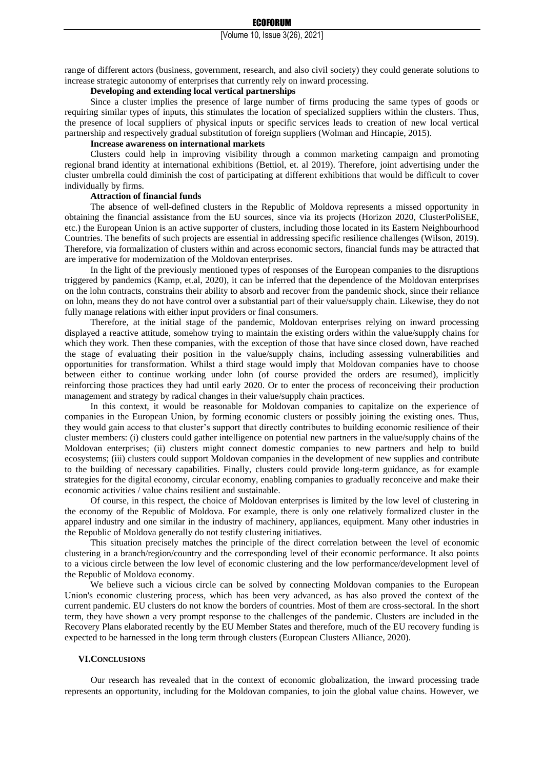range of different actors (business, government, research, and also civil society) they could generate solutions to increase strategic autonomy of enterprises that currently rely on inward processing.

## **Developing and extending local vertical partnerships**

Since a cluster implies the presence of large number of firms producing the same types of goods or requiring similar types of inputs, this stimulates the location of specialized suppliers within the clusters. Thus, the presence of local suppliers of physical inputs or specific services leads to creation of new local vertical partnership and respectively gradual substitution of foreign suppliers (Wolman and Hincapie, 2015).

#### **Increase awareness on international markets**

Clusters could help in improving visibility through a common marketing campaign and promoting regional brand identity at international exhibitions (Bettiol, et. al 2019). Therefore, joint advertising under the cluster umbrella could diminish the cost of participating at different exhibitions that would be difficult to cover individually by firms.

### **Attraction of financial funds**

The absence of well-defined clusters in the Republic of Moldova represents a missed opportunity in obtaining the financial assistance from the EU sources, since via its projects (Horizon 2020, ClusterPoliSEE, etc.) the European Union is an active supporter of clusters, including those located in its Eastern Neighbourhood Countries. The benefits of such projects are essential in addressing specific resilience challenges (Wilson, 2019). Therefore, via formalization of clusters within and across economic sectors, financial funds may be attracted that are imperative for modernization of the Moldovan enterprises.

In the light of the previously mentioned types of responses of the European companies to the disruptions triggered by pandemics (Kamp, et.al, 2020), it can be inferred that the dependence of the Moldovan enterprises on the lohn contracts, constrains their ability to absorb and recover from the pandemic shock, since their reliance on lohn, means they do not have control over a substantial part of their value/supply chain. Likewise, they do not fully manage relations with either input providers or final consumers.

Therefore, at the initial stage of the pandemic, Moldovan enterprises relying on inward processing displayed a reactive attitude, somehow trying to maintain the existing orders within the value/supply chains for which they work. Then these companies, with the exception of those that have since closed down, have reached the stage of evaluating their position in the value/supply chains, including assessing vulnerabilities and opportunities for transformation. Whilst a third stage would imply that Moldovan companies have to choose between either to continue working under lohn (of course provided the orders are resumed), implicitly reinforcing those practices they had until early 2020. Or to enter the process of reconceiving their production management and strategy by radical changes in their value/supply chain practices.

In this context, it would be reasonable for Moldovan companies to capitalize on the experience of companies in the European Union, by forming economic clusters or possibly joining the existing ones. Thus, they would gain access to that cluster's support that directly contributes to building economic resilience of their cluster members: (i) clusters could gather intelligence on potential new partners in the value/supply chains of the Moldovan enterprises; (ii) clusters might connect domestic companies to new partners and help to build ecosystems; (iii) clusters could support Moldovan companies in the development of new supplies and contribute to the building of necessary capabilities. Finally, clusters could provide long-term guidance, as for example strategies for the digital economy, circular economy, enabling companies to gradually reconceive and make their economic activities / value chains resilient and sustainable.

Of course, in this respect, the choice of Moldovan enterprises is limited by the low level of clustering in the economy of the Republic of Moldova. For example, there is only one relatively formalized cluster in the apparel industry and one similar in the industry of machinery, appliances, equipment. Many other industries in the Republic of Moldova generally do not testify clustering initiatives.

This situation precisely matches the principle of the direct correlation between the level of economic clustering in a branch/region/country and the corresponding level of their economic performance. It also points to a vicious circle between the low level of economic clustering and the low performance/development level of the Republic of Moldova economy.

We believe such a vicious circle can be solved by connecting Moldovan companies to the European Union's economic clustering process, which has been very advanced, as has also proved the context of the current pandemic. EU clusters do not know the borders of countries. Most of them are cross-sectoral. In the short term, they have shown a very prompt response to the challenges of the pandemic. Clusters are included in the Recovery Plans elaborated recently by the EU Member States and therefore, much of the EU recovery funding is expected to be harnessed in the long term through clusters (European Clusters Alliance, 2020).

#### **VI.CONCLUSIONS**

Our research has revealed that in the context of economic globalization, the inward processing trade represents an opportunity, including for the Moldovan companies, to join the global value chains. However, we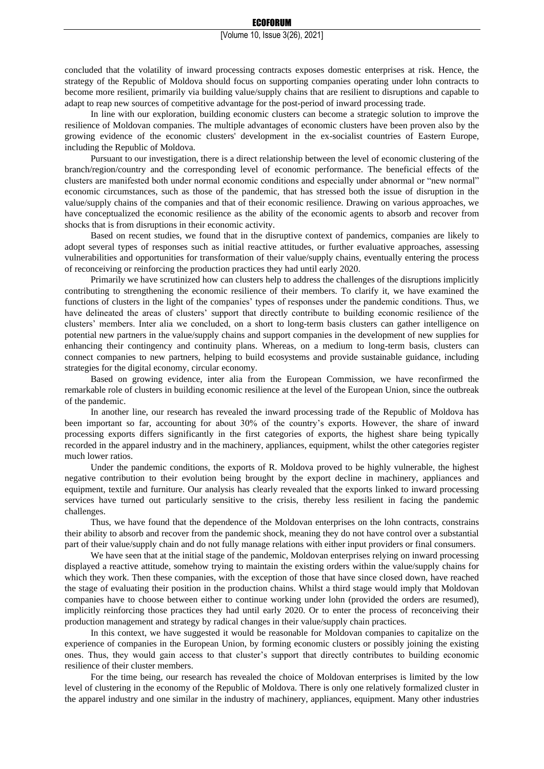#### ECOFORUM

#### [Volume 10, Issue 3(26), 2021]

concluded that the volatility of inward processing contracts exposes domestic enterprises at risk. Hence, the strategy of the Republic of Moldova should focus on supporting companies operating under lohn contracts to become more resilient, primarily via building value/supply chains that are resilient to disruptions and capable to adapt to reap new sources of competitive advantage for the post-period of inward processing trade.

In line with our exploration, building economic clusters can become a strategic solution to improve the resilience of Moldovan companies. The multiple advantages of economic clusters have been proven also by the growing evidence of the economic clusters' development in the ex-socialist countries of Eastern Europe, including the Republic of Moldova.

Pursuant to our investigation, there is a direct relationship between the level of economic clustering of the branch/region/country and the corresponding level of economic performance. The beneficial effects of the clusters are manifested both under normal economic conditions and especially under abnormal or "new normal" economic circumstances, such as those of the pandemic, that has stressed both the issue of disruption in the value/supply chains of the companies and that of their economic resilience. Drawing on various approaches, we have conceptualized the economic resilience as the ability of the economic agents to absorb and recover from shocks that is from disruptions in their economic activity.

Based on recent studies, we found that in the disruptive context of pandemics, companies are likely to adopt several types of responses such as initial reactive attitudes, or further evaluative approaches, assessing vulnerabilities and opportunities for transformation of their value/supply chains, eventually entering the process of reconceiving or reinforcing the production practices they had until early 2020.

Primarily we have scrutinized how can clusters help to address the challenges of the disruptions implicitly contributing to strengthening the economic resilience of their members. To clarify it, we have examined the functions of clusters in the light of the companies' types of responses under the pandemic conditions. Thus, we have delineated the areas of clusters' support that directly contribute to building economic resilience of the clusters' members. Inter alia we concluded, on a short to long-term basis clusters can gather intelligence on potential new partners in the value/supply chains and support companies in the development of new supplies for enhancing their contingency and continuity plans. Whereas, on a medium to long-term basis, clusters can connect companies to new partners, helping to build ecosystems and provide sustainable guidance, including strategies for the digital economy, circular economy.

Based on growing evidence, inter alia from the European Commission, we have reconfirmed the remarkable role of clusters in building economic resilience at the level of the European Union, since the outbreak of the pandemic.

In another line, our research has revealed the inward processing trade of the Republic of Moldova has been important so far, accounting for about 30% of the country's exports. However, the share of inward processing exports differs significantly in the first categories of exports, the highest share being typically recorded in the apparel industry and in the machinery, appliances, equipment, whilst the other categories register much lower ratios.

Under the pandemic conditions, the exports of R. Moldova proved to be highly vulnerable, the highest negative contribution to their evolution being brought by the export decline in machinery, appliances and equipment, textile and furniture. Our analysis has clearly revealed that the exports linked to inward processing services have turned out particularly sensitive to the crisis, thereby less resilient in facing the pandemic challenges.

Thus, we have found that the dependence of the Moldovan enterprises on the lohn contracts, constrains their ability to absorb and recover from the pandemic shock, meaning they do not have control over a substantial part of their value/supply chain and do not fully manage relations with either input providers or final consumers.

We have seen that at the initial stage of the pandemic, Moldovan enterprises relying on inward processing displayed a reactive attitude, somehow trying to maintain the existing orders within the value/supply chains for which they work. Then these companies, with the exception of those that have since closed down, have reached the stage of evaluating their position in the production chains. Whilst a third stage would imply that Moldovan companies have to choose between either to continue working under lohn (provided the orders are resumed), implicitly reinforcing those practices they had until early 2020. Or to enter the process of reconceiving their production management and strategy by radical changes in their value/supply chain practices.

In this context, we have suggested it would be reasonable for Moldovan companies to capitalize on the experience of companies in the European Union, by forming economic clusters or possibly joining the existing ones. Thus, they would gain access to that cluster's support that directly contributes to building economic resilience of their cluster members.

For the time being, our research has revealed the choice of Moldovan enterprises is limited by the low level of clustering in the economy of the Republic of Moldova. There is only one relatively formalized cluster in the apparel industry and one similar in the industry of machinery, appliances, equipment. Many other industries